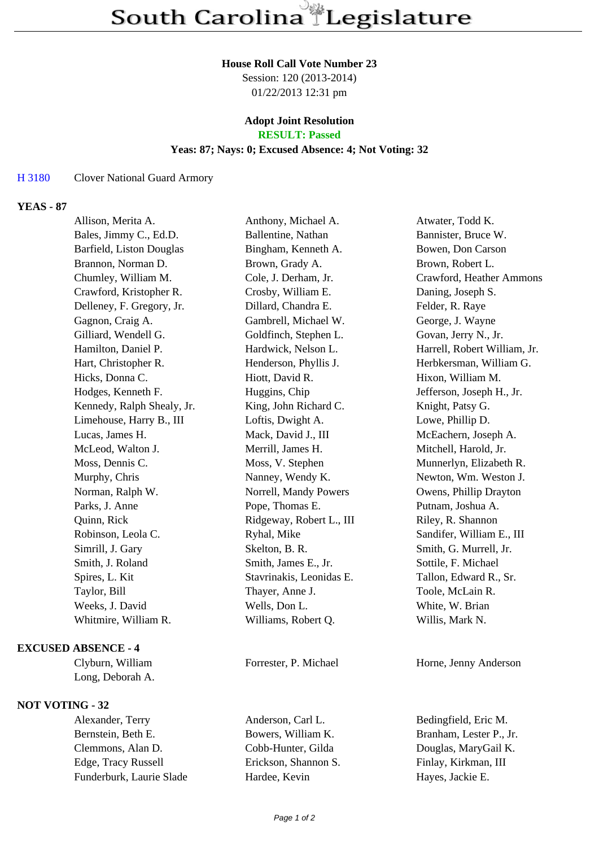#### **House Roll Call Vote Number 23**

Session: 120 (2013-2014) 01/22/2013 12:31 pm

# **Adopt Joint Resolution**

**RESULT: Passed**

## **Yeas: 87; Nays: 0; Excused Absence: 4; Not Voting: 32**

### H 3180 Clover National Guard Armory

## **YEAS - 87**

| Allison, Merita A.         | Anthony, Michael A.      | Atwater, Todd K.             |
|----------------------------|--------------------------|------------------------------|
| Bales, Jimmy C., Ed.D.     | Ballentine, Nathan       | Bannister, Bruce W.          |
| Barfield, Liston Douglas   | Bingham, Kenneth A.      | Bowen, Don Carson            |
| Brannon, Norman D.         | Brown, Grady A.          | Brown, Robert L.             |
| Chumley, William M.        | Cole, J. Derham, Jr.     | Crawford, Heather Ammons     |
| Crawford, Kristopher R.    | Crosby, William E.       | Daning, Joseph S.            |
| Delleney, F. Gregory, Jr.  | Dillard, Chandra E.      | Felder, R. Raye              |
| Gagnon, Craig A.           | Gambrell, Michael W.     | George, J. Wayne             |
| Gilliard, Wendell G.       | Goldfinch, Stephen L.    | Govan, Jerry N., Jr.         |
| Hamilton, Daniel P.        | Hardwick, Nelson L.      | Harrell, Robert William, Jr. |
| Hart, Christopher R.       | Henderson, Phyllis J.    | Herbkersman, William G.      |
| Hicks, Donna C.            | Hiott, David R.          | Hixon, William M.            |
| Hodges, Kenneth F.         | Huggins, Chip            | Jefferson, Joseph H., Jr.    |
| Kennedy, Ralph Shealy, Jr. | King, John Richard C.    | Knight, Patsy G.             |
| Limehouse, Harry B., III   | Loftis, Dwight A.        | Lowe, Phillip D.             |
| Lucas, James H.            | Mack, David J., III      | McEachern, Joseph A.         |
| McLeod, Walton J.          | Merrill, James H.        | Mitchell, Harold, Jr.        |
| Moss, Dennis C.            | Moss, V. Stephen         | Munnerlyn, Elizabeth R.      |
| Murphy, Chris              | Nanney, Wendy K.         | Newton, Wm. Weston J.        |
| Norman, Ralph W.           | Norrell, Mandy Powers    | Owens, Phillip Drayton       |
| Parks, J. Anne             | Pope, Thomas E.          | Putnam, Joshua A.            |
| Quinn, Rick                | Ridgeway, Robert L., III | Riley, R. Shannon            |
| Robinson, Leola C.         | Ryhal, Mike              | Sandifer, William E., III    |
| Simrill, J. Gary           | Skelton, B. R.           | Smith, G. Murrell, Jr.       |
| Smith, J. Roland           | Smith, James E., Jr.     | Sottile, F. Michael          |
| Spires, L. Kit             | Stavrinakis, Leonidas E. | Tallon, Edward R., Sr.       |
| Taylor, Bill               | Thayer, Anne J.          | Toole, McLain R.             |
| Weeks, J. David            | Wells, Don L.            | White, W. Brian              |
| Whitmire, William R.       | Williams, Robert Q.      | Willis, Mark N.              |
|                            |                          |                              |

### **EXCUSED ABSENCE - 4**

Long, Deborah A.

## **NOT VOTING - 32**

Bernstein, Beth E. Bowers, William K. Branham, Lester P., Jr. Clemmons, Alan D. Cobb-Hunter, Gilda Douglas, MaryGail K. Edge, Tracy Russell Erickson, Shannon S. Finlay, Kirkman, III Funderburk, Laurie Slade Hardee, Kevin Hayes, Jackie E.

Alexander, Terry Anderson, Carl L. Bedingfield, Eric M.

Clyburn, William Forrester, P. Michael Horne, Jenny Anderson